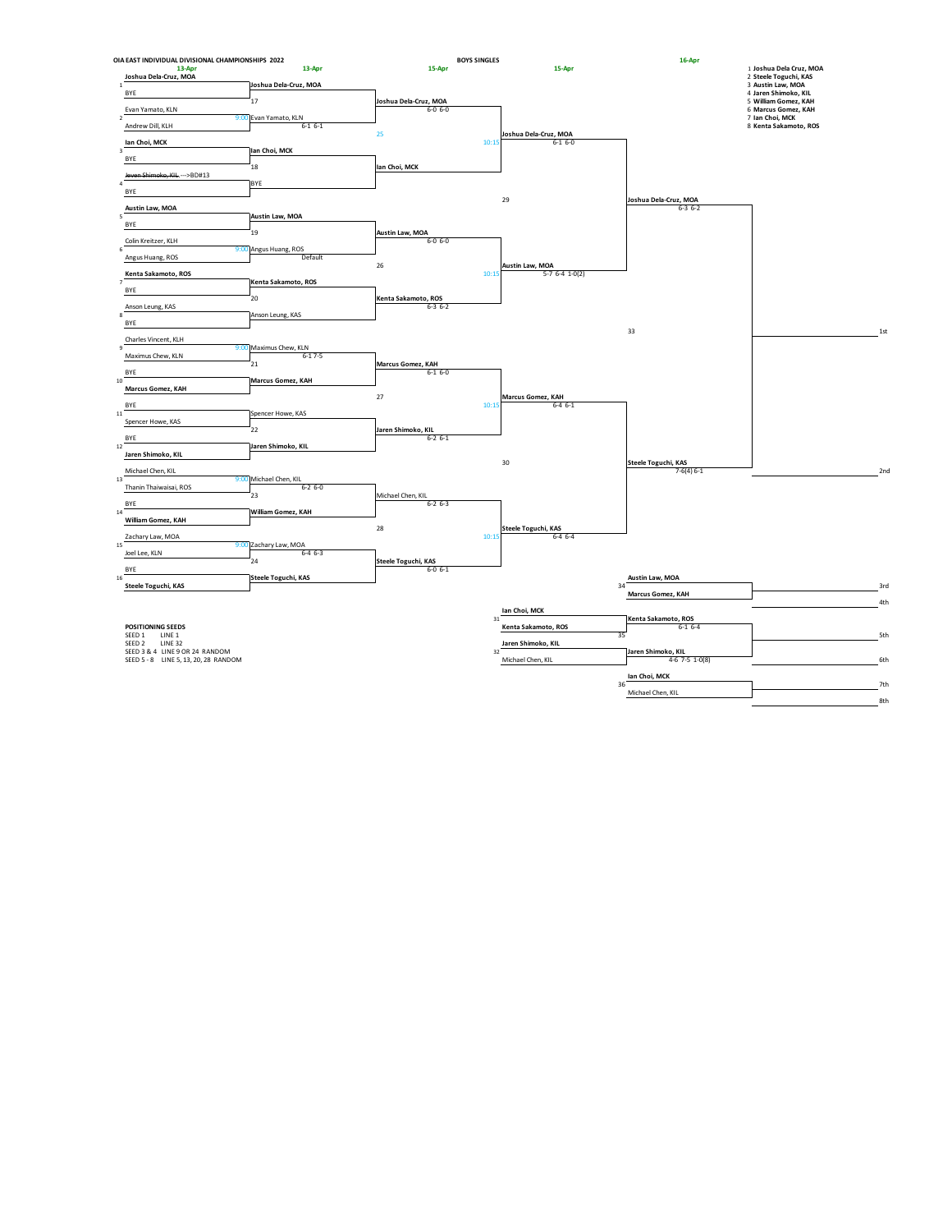| OIA EAST INDIVIDUAL DIVISIONAL CHAMPIONSHIPS 2022 |                                        | <b>BOYS SINGLES</b>                    |                                      | 16-Apr                              |                                                  |
|---------------------------------------------------|----------------------------------------|----------------------------------------|--------------------------------------|-------------------------------------|--------------------------------------------------|
| 13-Apr<br>Joshua Dela-Cruz, MOA                   | 13-Apr                                 | 15-Apr                                 | 15-Apr                               |                                     | 1 Joshua Dela Cruz, MOA<br>2 Steele Toguchi, KAS |
| $\mathbf{1}$                                      | Joshua Dela-Cruz, MOA                  |                                        |                                      |                                     | 3 Austin Law, MOA                                |
| BYE                                               |                                        |                                        |                                      |                                     | 4 Jaren Shimoko, KIL                             |
| Evan Yamato, KLN                                  | 17                                     | Joshua Dela-Cruz, MOA<br>$6 - 0 6 - 0$ |                                      |                                     | 5 William Gomez, KAH<br>6 Marcus Gomez, KAH      |
| $\mathcal{L}$                                     | 9:00 Evan Yamato, KLN                  |                                        |                                      |                                     | 7 Ian Choi, MCK                                  |
| Andrew Dill, KLH                                  | $6 - 16 - 1$                           |                                        |                                      |                                     | 8 Kenta Sakamoto, ROS                            |
| lan Choi, MCK                                     |                                        | 25<br>10:15                            | Joshua Dela-Cruz, MOA<br>$6-1$ $6-0$ |                                     |                                                  |
| $\overline{\mathbf{3}}$                           | Ian Choi, MCK                          |                                        |                                      |                                     |                                                  |
| BYE                                               | 18                                     | Ian Choi, MCK                          |                                      |                                     |                                                  |
| Jeven Shimoko, KIL. --->BD#13                     |                                        |                                        |                                      |                                     |                                                  |
| $\overline{a}$<br>BYE                             | BYE                                    |                                        |                                      |                                     |                                                  |
|                                                   |                                        |                                        | 29                                   | Joshua Dela-Cruz, MOA               |                                                  |
| Austin Law, MOA                                   |                                        |                                        |                                      | $6 - 3 6 - 2$                       |                                                  |
| 5<br>BYE                                          | Austin Law, MOA                        |                                        |                                      |                                     |                                                  |
|                                                   | 19                                     | Austin Law, MOA                        |                                      |                                     |                                                  |
| Colin Kreitzer, KLH<br>6                          | 9:00 Angus Huang, ROS                  | $6 - 0 6 - 0$                          |                                      |                                     |                                                  |
| Angus Huang, ROS                                  | Default                                |                                        |                                      |                                     |                                                  |
| Kenta Sakamoto, ROS                               |                                        | 26<br>10:15                            | Austin Law, MOA<br>$5-7$ 6-4 1-0(2)  |                                     |                                                  |
|                                                   | Kenta Sakamoto, ROS                    |                                        |                                      |                                     |                                                  |
| BYE                                               |                                        |                                        |                                      |                                     |                                                  |
| Anson Leung, KAS                                  | 20                                     | Kenta Sakamoto, ROS<br>$6 - 36 - 2$    |                                      |                                     |                                                  |
| 8                                                 | Anson Leung, KAS                       |                                        |                                      |                                     |                                                  |
| BYE                                               |                                        |                                        |                                      | 33                                  | 1st                                              |
| Charles Vincent, KLH                              |                                        |                                        |                                      |                                     |                                                  |
| $\mathsf{9}$<br>Maximus Chew, KLN                 | 9:00 Maximus Chew, KLN<br>$6 - 17 - 5$ |                                        |                                      |                                     |                                                  |
|                                                   | 21                                     | Marcus Gomez, KAH                      |                                      |                                     |                                                  |
| BYE                                               |                                        | $6 - 16 - 0$                           |                                      |                                     |                                                  |
| 10 <sup>7</sup><br>Marcus Gomez, KAH              | Marcus Gomez, KAH                      |                                        |                                      |                                     |                                                  |
|                                                   |                                        | 27                                     | Marcus Gomez, KAH                    |                                     |                                                  |
| BYE<br>11                                         | Spencer Howe, KAS                      | 10:15                                  | $6-4$ $6-1$                          |                                     |                                                  |
| Spencer Howe, KAS                                 |                                        |                                        |                                      |                                     |                                                  |
|                                                   | 22                                     | Jaren Shimoko, KIL                     |                                      |                                     |                                                  |
| BYE<br>$12\,$                                     | Jaren Shimoko, KIL                     | $6 - 2 6 - 1$                          |                                      |                                     |                                                  |
| Jaren Shimoko, KIL                                |                                        |                                        |                                      |                                     |                                                  |
| Michael Chen, KIL                                 |                                        |                                        | 30                                   | Steele Toguchi, KAS<br>$7-6(4) 6-1$ | 2 <sub>nd</sub>                                  |
| 13                                                | 9:00 Michael Chen, KIL                 |                                        |                                      |                                     |                                                  |
| Thanin Thaiwaisai, ROS                            | $6 - 26 - 0$<br>23                     | Michael Chen, KIL                      |                                      |                                     |                                                  |
| BYE                                               |                                        | $6 - 26 - 3$                           |                                      |                                     |                                                  |
| $14\,$                                            | William Gomez, KAH                     |                                        |                                      |                                     |                                                  |
| William Gomez, KAH                                |                                        | 28                                     | Steele Toguchi, KAS                  |                                     |                                                  |
| Zachary Law, MOA                                  |                                        | 10:15                                  | $6-4$ $6-4$                          |                                     |                                                  |
| 15<br>Joel Lee, KLN                               | 9:00 Zachary Law, MOA<br>$6-4$ $6-3$   |                                        |                                      |                                     |                                                  |
|                                                   | 24                                     | Steele Toguchi, KAS                    |                                      |                                     |                                                  |
| BYE<br>16                                         | Steele Toguchi, KAS                    | $6 - 0 6 - 1$                          |                                      | Austin Law, MOA                     |                                                  |
| Steele Toguchi, KAS                               |                                        |                                        |                                      | 34                                  | 3rd                                              |
|                                                   |                                        |                                        |                                      | Marcus Gomez, KAH                   |                                                  |
|                                                   |                                        |                                        | Ian Choi, MCK                        |                                     | 4th                                              |
|                                                   |                                        |                                        | 31                                   | Kenta Sakamoto, ROS                 |                                                  |
| POSITIONING SEEDS<br>SEED 1 LINE 1                |                                        |                                        | Kenta Sakamoto, ROS                  | $6-16-4$<br>35                      | 5th                                              |
| SEED <sub>2</sub><br><b>LINE 32</b>               |                                        |                                        | Jaren Shimoko, KIL                   |                                     |                                                  |
| SEED 3 & 4 LINE 9 OR 24 RANDOM                    |                                        |                                        | 32                                   | Jaren Shimoko, KIL                  |                                                  |
| SEED 5 - 8 LINE 5, 13, 20, 28 RANDOM              |                                        |                                        | Michael Chen, KIL                    | $4-6$ 7-5 $1-0(8)$                  | 6th                                              |
|                                                   |                                        |                                        |                                      | lan Choi, MCK                       |                                                  |
|                                                   |                                        |                                        |                                      | 36<br>Michael Chen, KIL             | 7th                                              |
|                                                   |                                        |                                        |                                      |                                     | 8th                                              |
|                                                   |                                        |                                        |                                      |                                     |                                                  |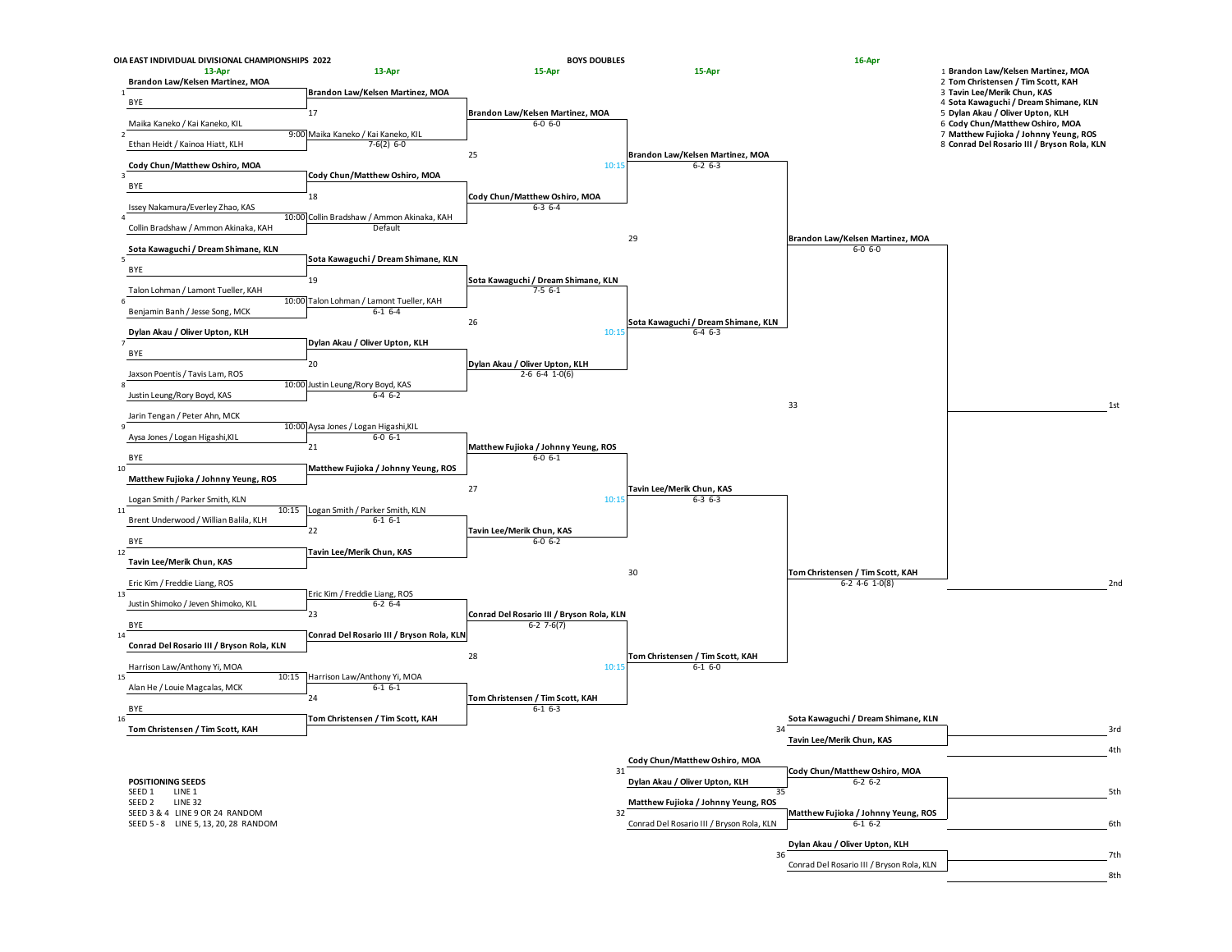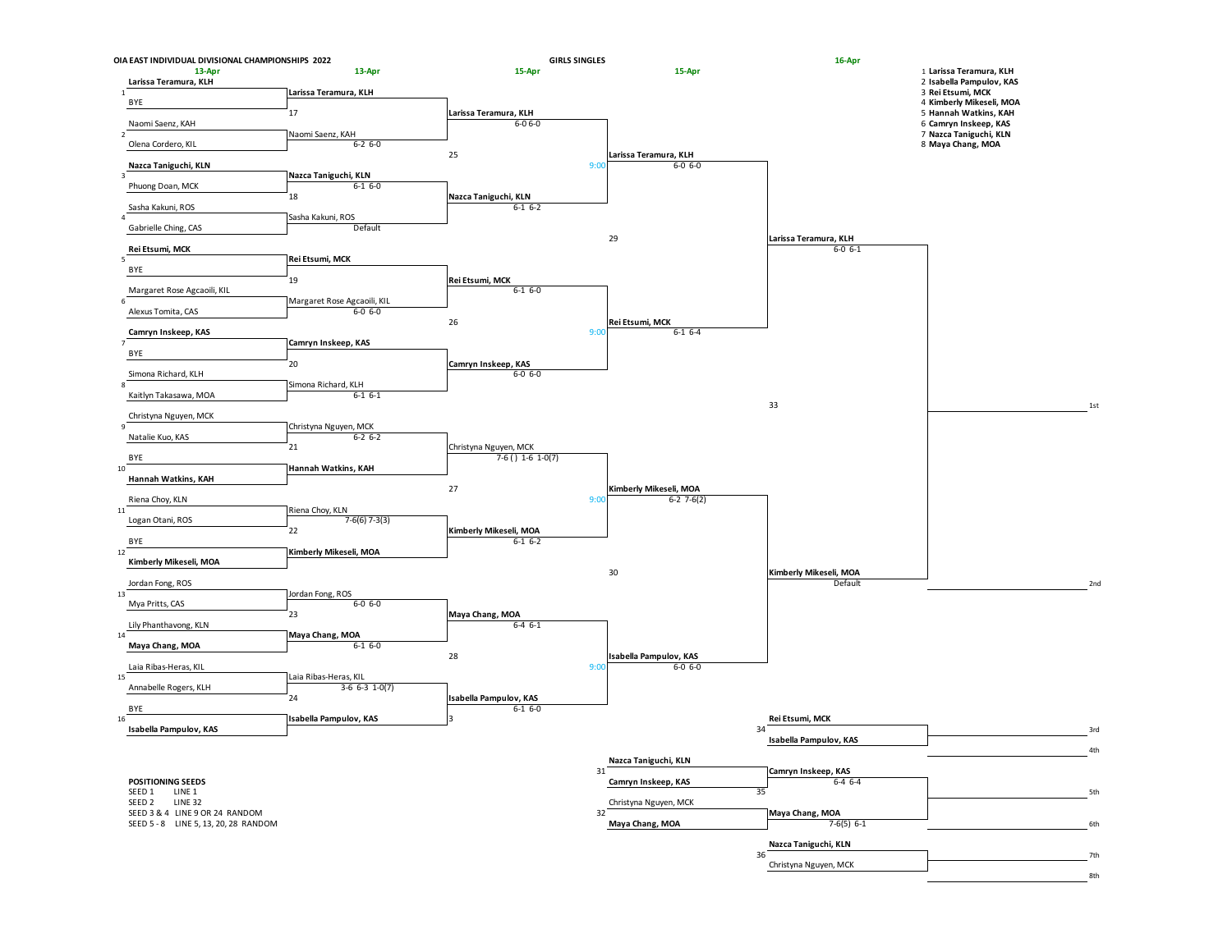